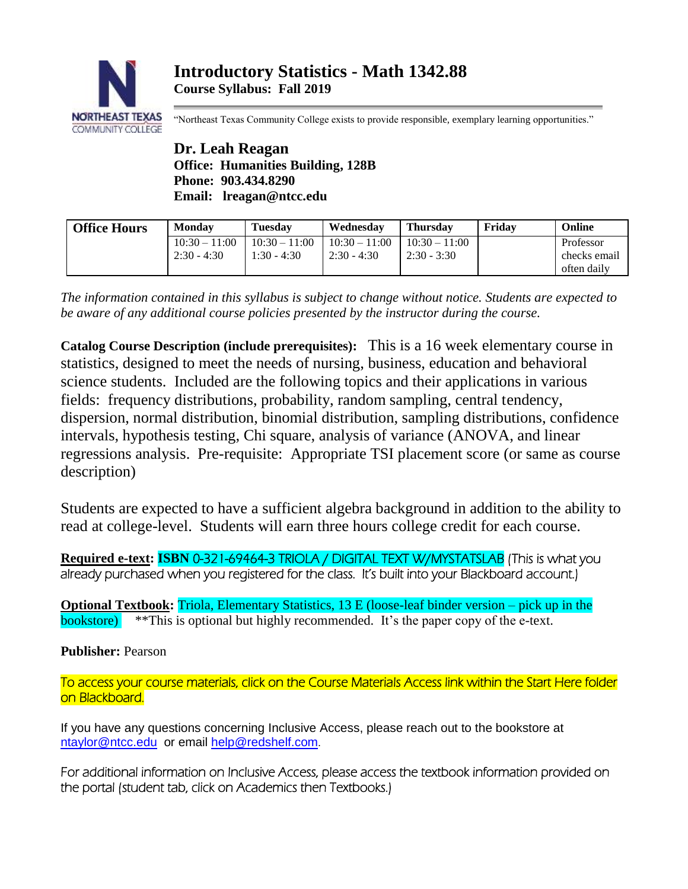

"Northeast Texas Community College exists to provide responsible, exemplary learning opportunities."

**Dr. Leah Reagan Office: Humanities Building, 128B Phone: 903.434.8290 Email: lreagan@ntcc.edu**

| <b>Office Hours</b> | <b>Monday</b>                    | <b>Tuesday</b>                   | Wednesdav                        | <b>Thursday</b>                  | Fridav | Online                                   |
|---------------------|----------------------------------|----------------------------------|----------------------------------|----------------------------------|--------|------------------------------------------|
|                     | $10:30 - 11:00$<br>$2:30 - 4:30$ | $10:30 - 11:00$<br>$1:30 - 4:30$ | $10:30 - 11:00$<br>$2:30 - 4:30$ | $10:30 - 11:00$<br>$2:30 - 3:30$ |        | Professor<br>checks email<br>often daily |

*The information contained in this syllabus is subject to change without notice. Students are expected to be aware of any additional course policies presented by the instructor during the course.*

**Catalog Course Description (include prerequisites):** This is a 16 week elementary course in statistics, designed to meet the needs of nursing, business, education and behavioral science students. Included are the following topics and their applications in various fields: frequency distributions, probability, random sampling, central tendency, dispersion, normal distribution, binomial distribution, sampling distributions, confidence intervals, hypothesis testing, Chi square, analysis of variance (ANOVA, and linear regressions analysis. Pre-requisite: Appropriate TSI placement score (or same as course description)

Students are expected to have a sufficient algebra background in addition to the ability to read at college-level. Students will earn three hours college credit for each course.

**Required e-text: ISBN 0-321-69464-3 TRIOLA / DIGITAL TEXT W/MYSTATSLAB** (This is what you already purchased when you registered for the class. It's built into your Blackboard account.)

**Optional Textbook:** Triola, Elementary Statistics, 13 E (loose-leaf binder version – pick up in the bookstore) \*\*This is optional but highly recommended. It's the paper copy of the e-text.

**Publisher:** Pearson

To access your course materials, click on the Course Materials Access link within the Start Here folder on Blackboard.

If you have any questions concerning Inclusive Access, please reach out to the bookstore at [ntaylor@ntcc.edu](mailto:ntaylor@ntcc.edu) or email [help@redshelf.com](mailto:help@redshelf.com).

For additional information on Inclusive Access, please access the textbook information provided on the portal (student tab, click on Academics then Textbooks.)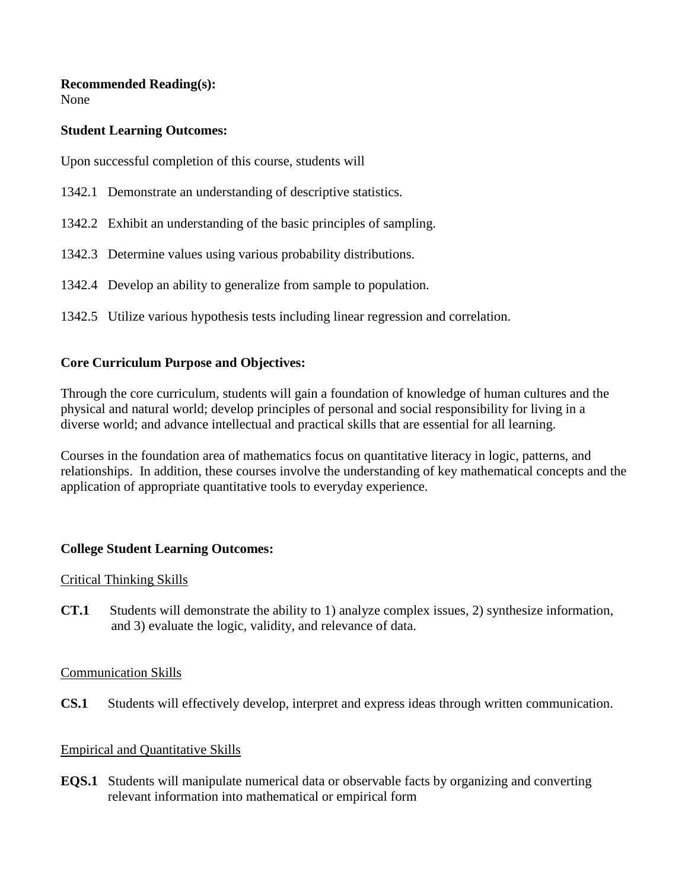### **Recommended Reading(s):**

None

### **Student Learning Outcomes:**

Upon successful completion of this course, students will

- 1342.1 Demonstrate an understanding of descriptive statistics.
- 1342.2 Exhibit an understanding of the basic principles of sampling.
- 1342.3 Determine values using various probability distributions.
- 1342.4 Develop an ability to generalize from sample to population.
- 1342.5 Utilize various hypothesis tests including linear regression and correlation.

# **Core Curriculum Purpose and Objectives:**

Through the core curriculum, students will gain a foundation of knowledge of human cultures and the physical and natural world; develop principles of personal and social responsibility for living in a diverse world; and advance intellectual and practical skills that are essential for all learning.

Courses in the foundation area of mathematics focus on quantitative literacy in logic, patterns, and relationships. In addition, these courses involve the understanding of key mathematical concepts and the application of appropriate quantitative tools to everyday experience.

## **College Student Learning Outcomes:**

## Critical Thinking Skills

**CT.1** Students will demonstrate the ability to 1) analyze complex issues, 2) synthesize information, and 3) evaluate the logic, validity, and relevance of data.

## Communication Skills

**CS.1** Students will effectively develop, interpret and express ideas through written communication.

## Empirical and Quantitative Skills

**EQS.1** Students will manipulate numerical data or observable facts by organizing and converting relevant information into mathematical or empirical form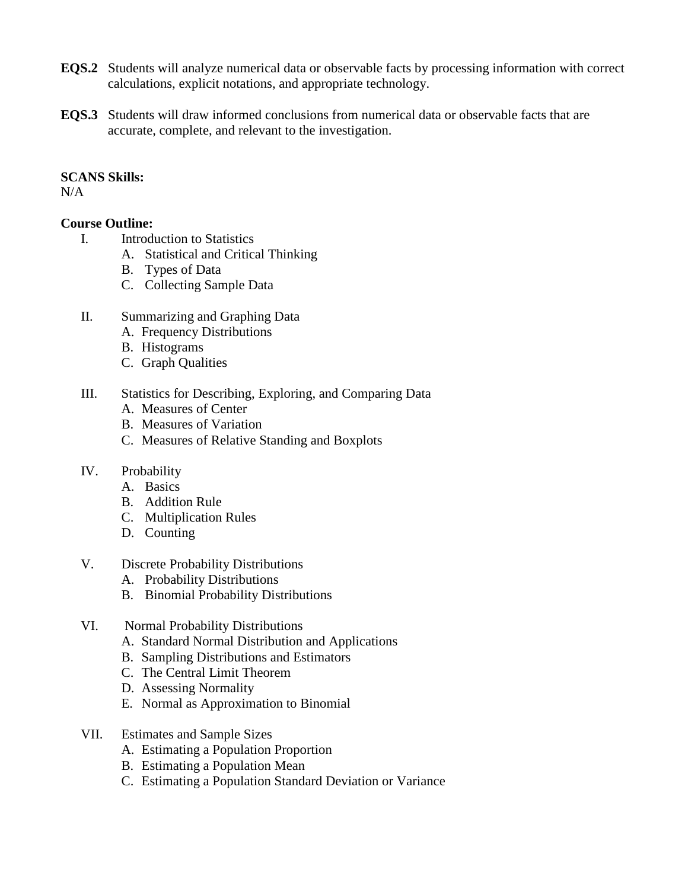- **EQS.2** Students will analyze numerical data or observable facts by processing information with correct calculations, explicit notations, and appropriate technology.
- **EQS.3** Students will draw informed conclusions from numerical data or observable facts that are accurate, complete, and relevant to the investigation.

#### **SCANS Skills:**

 $N/A$ 

### **Course Outline:**

- I. Introduction to Statistics
	- A. Statistical and Critical Thinking
		- B. Types of Data
		- C. Collecting Sample Data
- II. Summarizing and Graphing Data
	- A. Frequency Distributions
	- B. Histograms
	- C. Graph Qualities
- III. Statistics for Describing, Exploring, and Comparing Data
	- A. Measures of Center
	- B. Measures of Variation
	- C. Measures of Relative Standing and Boxplots
- IV. Probability
	- A. Basics
	- B. Addition Rule
	- C. Multiplication Rules
	- D. Counting
- V. Discrete Probability Distributions
	- A. Probability Distributions
	- B. Binomial Probability Distributions
- VI. Normal Probability Distributions
	- A. Standard Normal Distribution and Applications
	- B. Sampling Distributions and Estimators
	- C. The Central Limit Theorem
	- D. Assessing Normality
	- E. Normal as Approximation to Binomial
- VII. Estimates and Sample Sizes
	- A. Estimating a Population Proportion
	- B. Estimating a Population Mean
	- C. Estimating a Population Standard Deviation or Variance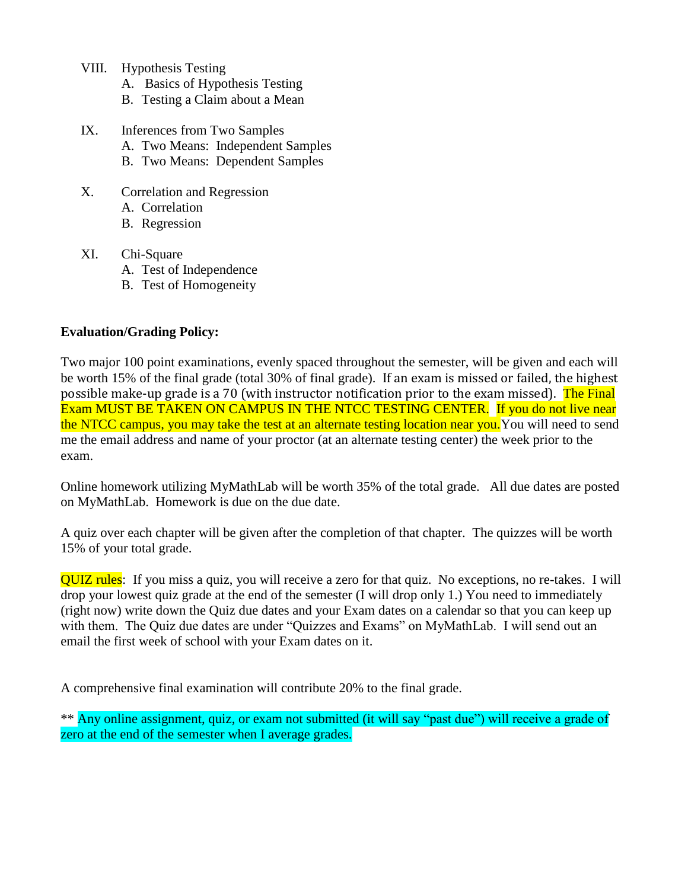- VIII. Hypothesis Testing
	- A. Basics of Hypothesis Testing
	- B. Testing a Claim about a Mean
- IX. Inferences from Two Samples
	- A. Two Means: Independent Samples
	- B. Two Means: Dependent Samples
- X. Correlation and Regression
	- A. Correlation
	- B. Regression
- XI. Chi-Square
	- A. Test of Independence
	- B. Test of Homogeneity

### **Evaluation/Grading Policy:**

Two major 100 point examinations, evenly spaced throughout the semester, will be given and each will be worth 15% of the final grade (total 30% of final grade). If an exam is missed or failed, the highest possible make-up grade is a 70 (with instructor notification prior to the exam missed). The Final Exam MUST BE TAKEN ON CAMPUS IN THE NTCC TESTING CENTER. If you do not live near the NTCC campus, you may take the test at an alternate testing location near you.You will need to send me the email address and name of your proctor (at an alternate testing center) the week prior to the exam.

Online homework utilizing MyMathLab will be worth 35% of the total grade. All due dates are posted on MyMathLab. Homework is due on the due date.

A quiz over each chapter will be given after the completion of that chapter. The quizzes will be worth 15% of your total grade.

QUIZ rules: If you miss a quiz, you will receive a zero for that quiz. No exceptions, no re-takes. I will drop your lowest quiz grade at the end of the semester (I will drop only 1.) You need to immediately (right now) write down the Quiz due dates and your Exam dates on a calendar so that you can keep up with them. The Quiz due dates are under "Quizzes and Exams" on MyMathLab. I will send out an email the first week of school with your Exam dates on it.

A comprehensive final examination will contribute 20% to the final grade.

\*\* Any online assignment, quiz, or exam not submitted (it will say "past due") will receive a grade of zero at the end of the semester when I average grades.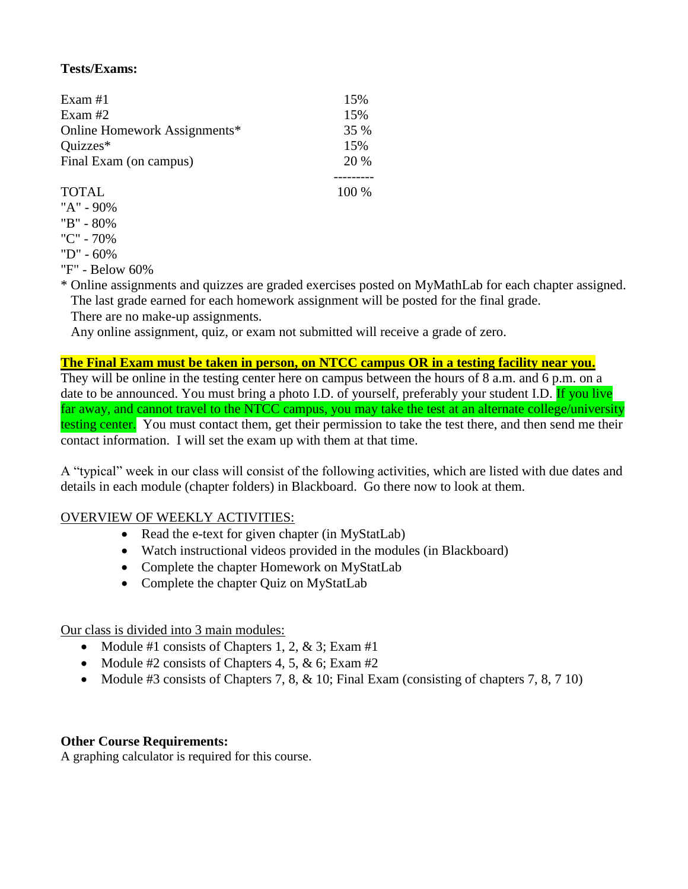# **Tests/Exams:**

| Exam #1                      | 15%  |
|------------------------------|------|
| Exam #2                      | 15%  |
| Online Homework Assignments* | 35 % |
| Quizzes*                     | 15%  |
| Final Exam (on campus)       | 20 % |
|                              |      |

#### TOTAL 100 %

- "A" 90%
- "B" 80%
- "C" 70%
- "D" 60%

"F" - Below 60%

\* Online assignments and quizzes are graded exercises posted on MyMathLab for each chapter assigned. The last grade earned for each homework assignment will be posted for the final grade.

There are no make-up assignments.

Any online assignment, quiz, or exam not submitted will receive a grade of zero.

### **The Final Exam must be taken in person, on NTCC campus OR in a testing facility near you.**

They will be online in the testing center here on campus between the hours of 8 a.m. and 6 p.m. on a date to be announced. You must bring a photo I.D. of yourself, preferably your student I.D. If you live far away, and cannot travel to the NTCC campus, you may take the test at an alternate college/university testing center. You must contact them, get their permission to take the test there, and then send me their contact information. I will set the exam up with them at that time.

A "typical" week in our class will consist of the following activities, which are listed with due dates and details in each module (chapter folders) in Blackboard. Go there now to look at them.

## OVERVIEW OF WEEKLY ACTIVITIES:

- Read the e-text for given chapter (in MyStatLab)
- Watch instructional videos provided in the modules (in Blackboard)
- Complete the chapter Homework on MyStatLab
- Complete the chapter Ouiz on MyStatLab

Our class is divided into 3 main modules:

- Module #1 consists of Chapters 1, 2,  $\&$  3; Exam #1
- Module #2 consists of Chapters 4, 5,  $\&$  6; Exam #2
- Module #3 consists of Chapters 7, 8,  $\&$  10; Final Exam (consisting of chapters 7, 8, 7 10)

## **Other Course Requirements:**

A graphing calculator is required for this course.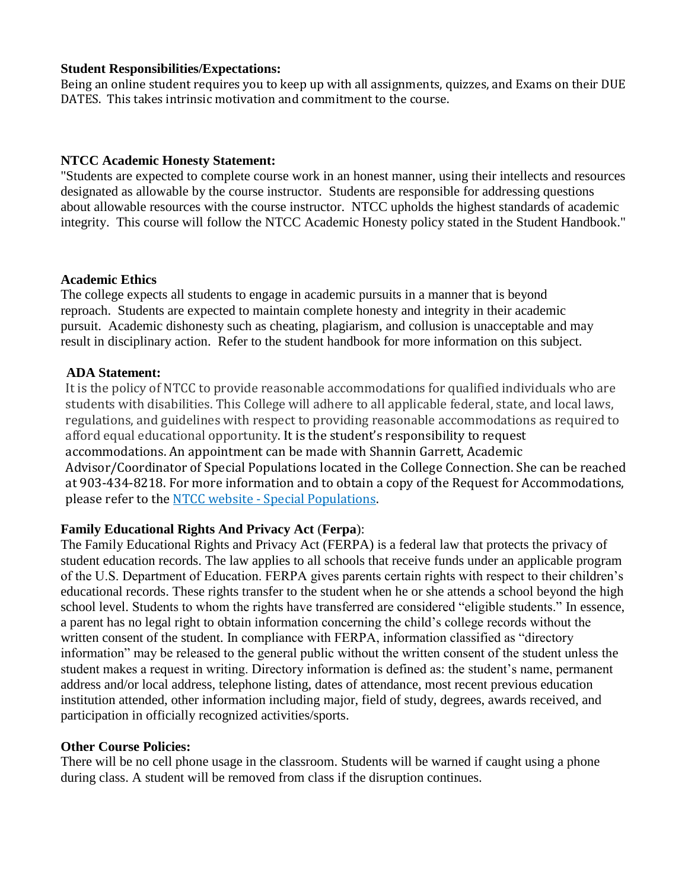#### **Student Responsibilities/Expectations:**

Being an online student requires you to keep up with all assignments, quizzes, and Exams on their DUE DATES. This takes intrinsic motivation and commitment to the course.

### **NTCC Academic Honesty Statement:**

"Students are expected to complete course work in an honest manner, using their intellects and resources designated as allowable by the course instructor. Students are responsible for addressing questions about allowable resources with the course instructor. NTCC upholds the highest standards of academic integrity. This course will follow the NTCC Academic Honesty policy stated in the Student Handbook."

#### **Academic Ethics**

The college expects all students to engage in academic pursuits in a manner that is beyond reproach. Students are expected to maintain complete honesty and integrity in their academic pursuit. Academic dishonesty such as cheating, plagiarism, and collusion is unacceptable and may result in disciplinary action. Refer to the student handbook for more information on this subject.

#### **ADA Statement:**

It is the policy of NTCC to provide reasonable accommodations for qualified individuals who are students with disabilities. This College will adhere to all applicable federal, state, and local laws, regulations, and guidelines with respect to providing reasonable accommodations as required to afford equal educational opportunity. It is the student's responsibility to request accommodations. An appointment can be made with Shannin Garrett, Academic Advisor/Coordinator of Special Populations located in the College Connection. She can be reached at 903-434-8218. For more information and to obtain a copy of the Request for Accommodations, please refer to the NTCC website - [Special Populations.](http://www.ntcc.edu/index.php?module=Pagesetter&func=viewpub&tid=111&pid=1)

#### **Family Educational Rights And Privacy Act** (**Ferpa**):

The Family Educational Rights and Privacy Act (FERPA) is a federal law that protects the privacy of student education records. The law applies to all schools that receive funds under an applicable program of the U.S. Department of Education. FERPA gives parents certain rights with respect to their children's educational records. These rights transfer to the student when he or she attends a school beyond the high school level. Students to whom the rights have transferred are considered "eligible students." In essence, a parent has no legal right to obtain information concerning the child's college records without the written consent of the student. In compliance with FERPA, information classified as "directory information" may be released to the general public without the written consent of the student unless the student makes a request in writing. Directory information is defined as: the student's name, permanent address and/or local address, telephone listing, dates of attendance, most recent previous education institution attended, other information including major, field of study, degrees, awards received, and participation in officially recognized activities/sports.

#### **Other Course Policies:**

There will be no cell phone usage in the classroom. Students will be warned if caught using a phone during class. A student will be removed from class if the disruption continues.